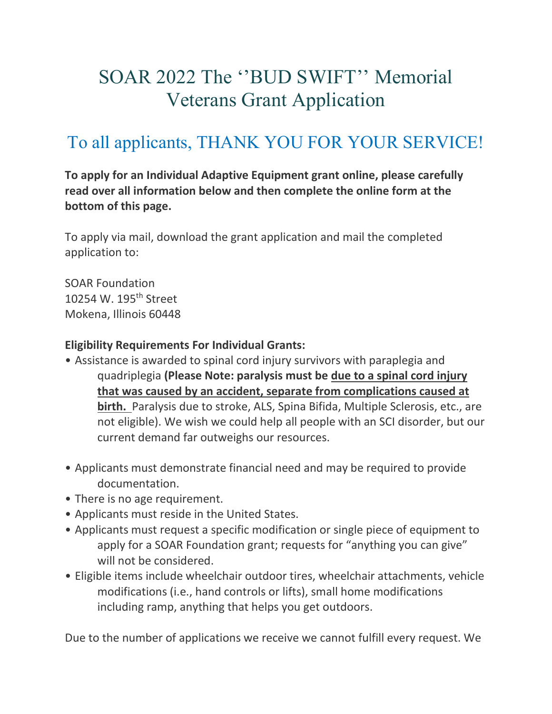# SOAR 2022 The ''BUD SWIFT'' Memorial Veterans Grant Application

# To all applicants, THANK YOU FOR YOUR SERVICE!

**To apply for an Individual Adaptive Equipment grant online, please carefully read over all information below and then complete the online form at the bottom of this page.**

To apply via mail, download the grant application and mail the completed application to:

SOAR Foundation 10254 W. 195th Street Mokena, Illinois 60448

#### **Eligibility Requirements For Individual Grants:**

- Assistance is awarded to spinal cord injury survivors with paraplegia and quadriplegia **(Please Note: paralysis must be due to a spinal cord injury that was caused by an accident, separate from complications caused at birth.** Paralysis due to stroke, ALS, Spina Bifida, Multiple Sclerosis, etc., are not eligible). We wish we could help all people with an SCI disorder, but our current demand far outweighs our resources.
- Applicants must demonstrate financial need and may be required to provide documentation.
- There is no age requirement.
- Applicants must reside in the United States.
- Applicants must request a specific modification or single piece of equipment to apply for a SOAR Foundation grant; requests for "anything you can give" will not be considered.
- Eligible items include wheelchair outdoor tires, wheelchair attachments, vehicle modifications (i.e., hand controls or lifts), small home modifications including ramp, anything that helps you get outdoors.

Due to the number of applications we receive we cannot fulfill every request. We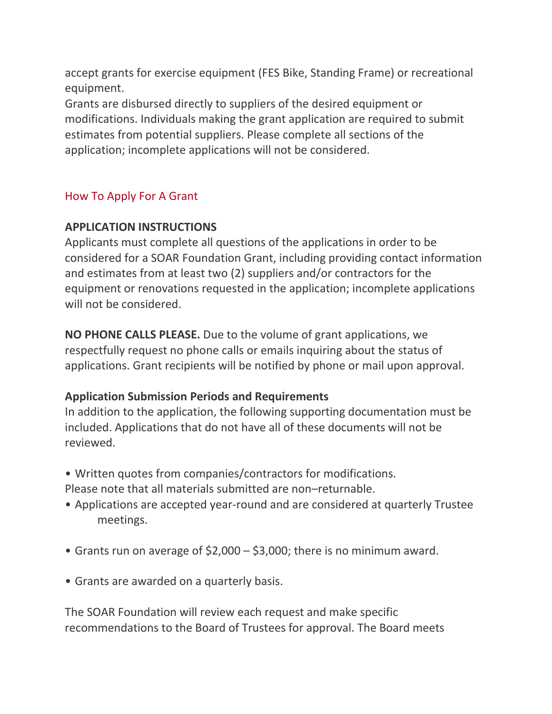accept grants for exercise equipment (FES Bike, Standing Frame) or recreational equipment.

Grants are disbursed directly to suppliers of the desired equipment or modifications. Individuals making the grant application are required to submit estimates from potential suppliers. Please complete all sections of the application; incomplete applications will not be considered.

## How To Apply For A Grant

### **APPLICATION INSTRUCTIONS**

Applicants must complete all questions of the applications in order to be considered for a SOAR Foundation Grant, including providing contact information and estimates from at least two (2) suppliers and/or contractors for the equipment or renovations requested in the application; incomplete applications will not be considered.

**NO PHONE CALLS PLEASE.** Due to the volume of grant applications, we respectfully request no phone calls or emails inquiring about the status of applications. Grant recipients will be notified by phone or mail upon approval.

### **Application Submission Periods and Requirements**

In addition to the application, the following supporting documentation must be included. Applications that do not have all of these documents will not be reviewed.

- Written quotes from companies/contractors for modifications. Please note that all materials submitted are non–returnable.
- Applications are accepted year-round and are considered at quarterly Trustee meetings.
- Grants run on average of \$2,000 \$3,000; there is no minimum award.
- Grants are awarded on a quarterly basis.

The SOAR Foundation will review each request and make specific recommendations to the Board of Trustees for approval. The Board meets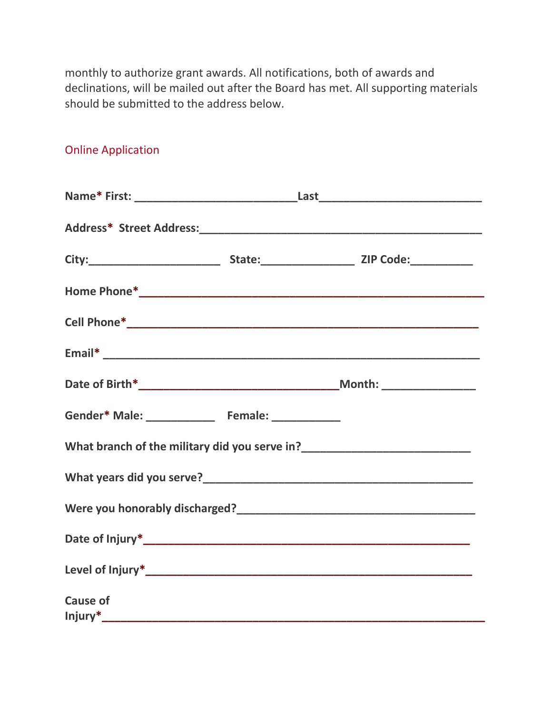monthly to authorize grant awards. All notifications, both of awards and declinations, will be mailed out after the Board has met. All supporting materials should be submitted to the address below.

|                 | Gender* Male: ________________ Female: ____________ |  |
|-----------------|-----------------------------------------------------|--|
|                 |                                                     |  |
|                 |                                                     |  |
|                 |                                                     |  |
|                 |                                                     |  |
|                 |                                                     |  |
| <b>Cause of</b> |                                                     |  |
|                 |                                                     |  |

Online Application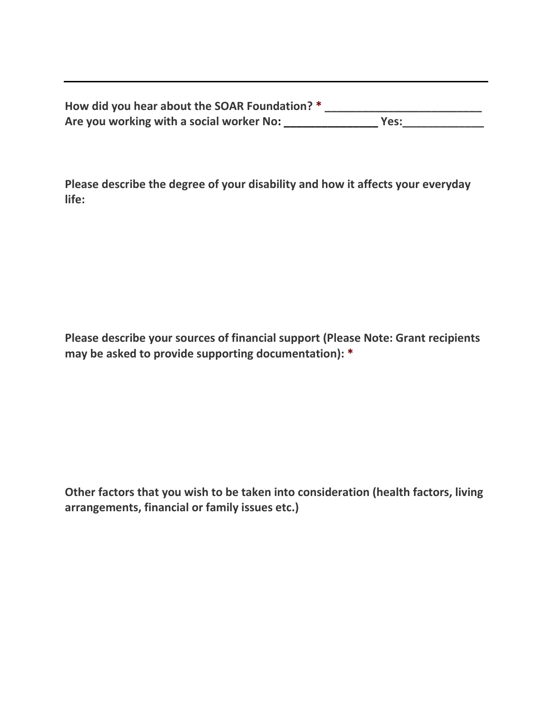| How did you hear about the SOAR Foundation? * |      |
|-----------------------------------------------|------|
| Are you working with a social worker No:      | Yes: |

**Please describe the degree of your disability and how it affects your everyday life:**

**Please describe your sources of financial support (Please Note: Grant recipients may be asked to provide supporting documentation): \***

**Other factors that you wish to be taken into consideration (health factors, living arrangements, financial or family issues etc.)**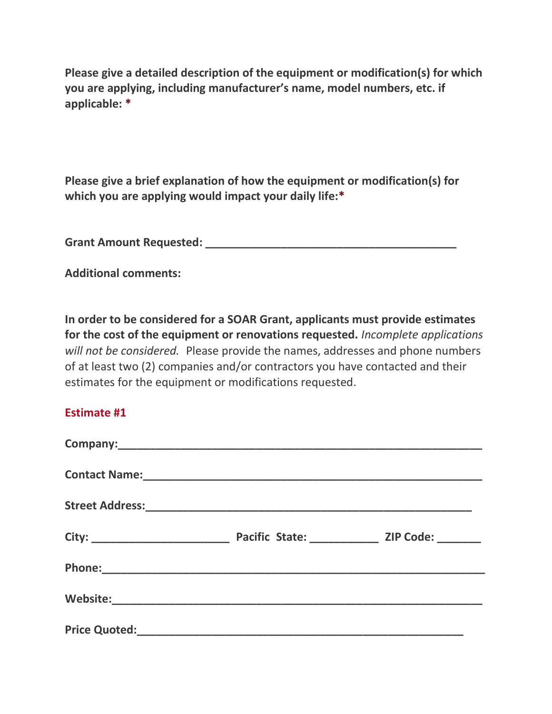**Please give a detailed description of the equipment or modification(s) for which you are applying, including manufacturer's name, model numbers, etc. if applicable: \***

**Please give a brief explanation of how the equipment or modification(s) for which you are applying would impact your daily life:\***

**Grant Amount Requested: \_\_\_\_\_\_\_\_\_\_\_\_\_\_\_\_\_\_\_\_\_\_\_\_\_\_\_\_\_\_\_\_\_\_\_\_\_\_\_\_**

**Additional comments:**

**In order to be considered for a SOAR Grant, applicants must provide estimates for the cost of the equipment or renovations requested.** *Incomplete applications will not be considered.* Please provide the names, addresses and phone numbers of at least two (2) companies and/or contractors you have contacted and their estimates for the equipment or modifications requested.

#### **Estimate #1**